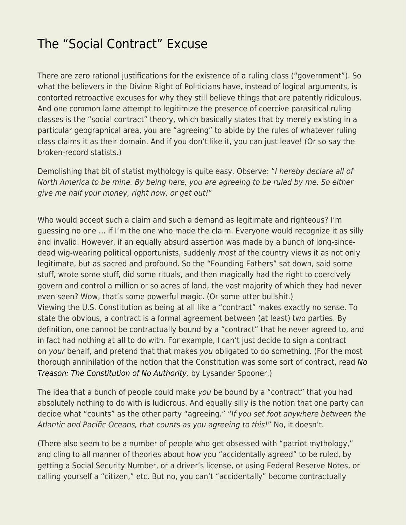## [The "Social Contract" Excuse](https://everything-voluntary.com/social-contract-excuse)

There are zero rational justifications for the existence of a ruling class ("government"). So what the believers in the Divine Right of Politicians have, instead of logical arguments, is contorted retroactive excuses for why they still believe things that are patently ridiculous. And one common lame attempt to legitimize the presence of coercive parasitical ruling classes is the "social contract" theory, which basically states that by merely existing in a particular geographical area, you are "agreeing" to abide by the rules of whatever ruling class claims it as their domain. And if you don't like it, you can just leave! (Or so say the broken-record statists.)

Demolishing that bit of statist mythology is quite easy. Observe: "I hereby declare all of North America to be mine. By being here, you are agreeing to be ruled by me. So either give me half your money, right now, or get out!"

Who would accept such a claim and such a demand as legitimate and righteous? I'm guessing no one … if I'm the one who made the claim. Everyone would recognize it as silly and invalid. However, if an equally absurd assertion was made by a bunch of long-sincedead wig-wearing political opportunists, suddenly most of the country views it as not only legitimate, but as sacred and profound. So the "Founding Fathers" sat down, said some stuff, wrote some stuff, did some rituals, and then magically had the right to coercively govern and control a million or so acres of land, the vast majority of which they had never even seen? Wow, that's some powerful magic. (Or some utter bullshit.) Viewing the U.S. Constitution as being at all like a "contract" makes exactly no sense. To state the obvious, a contract is a formal agreement between (at least) two parties. By definition, one cannot be contractually bound by a "contract" that he never agreed to, and in fact had nothing at all to do with. For example, I can't just decide to sign a contract on your behalf, and pretend that that makes you obligated to do something. (For the most thorough annihilation of the notion that the Constitution was some sort of contract, read [No](http://www.amazon.com/No-Treason-Constitution-Authority/dp/1979293074/ref=as_li_bk_tl/?tag=voluntary4all-20&linkId=24febbeaeed6cd81594a816049689eaf&linkCode=ktl) [Treason: The Constitution of No Authority,](http://www.amazon.com/No-Treason-Constitution-Authority/dp/1979293074/ref=as_li_bk_tl/?tag=voluntary4all-20&linkId=24febbeaeed6cd81594a816049689eaf&linkCode=ktl) by Lysander Spooner.)

The idea that a bunch of people could make you be bound by a "contract" that you had absolutely nothing to do with is ludicrous. And equally silly is the notion that one party can decide what "counts" as the other party "agreeing." "If you set foot anywhere between the Atlantic and Pacific Oceans, that counts as you agreeing to this!" No, it doesn't.

(There also seem to be a number of people who get obsessed with "patriot mythology," and cling to all manner of theories about how you "accidentally agreed" to be ruled, by getting a Social Security Number, or a driver's license, or using Federal Reserve Notes, or calling yourself a "citizen," etc. But no, you can't "accidentally" become contractually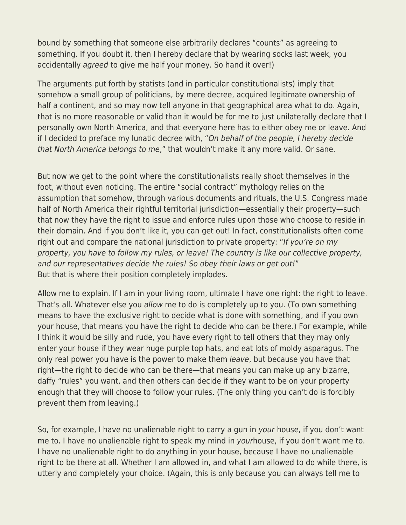bound by something that someone else arbitrarily declares "counts" as agreeing to something. If you doubt it, then I hereby declare that by wearing socks last week, you accidentally agreed to give me half your money. So hand it over!)

The arguments put forth by statists (and in particular constitutionalists) imply that somehow a small group of politicians, by mere decree, acquired legitimate ownership of half a continent, and so may now tell anyone in that geographical area what to do. Again, that is no more reasonable or valid than it would be for me to just unilaterally declare that I personally own North America, and that everyone here has to either obey me or leave. And if I decided to preface my lunatic decree with, "On behalf of the people, I hereby decide that North America belongs to me," that wouldn't make it any more valid. Or sane.

But now we get to the point where the constitutionalists really shoot themselves in the foot, without even noticing. The entire "social contract" mythology relies on the assumption that somehow, through various documents and rituals, the U.S. Congress made half of North America their rightful territorial jurisdiction—essentially their property—such that now they have the right to issue and enforce rules upon those who choose to reside in their domain. And if you don't like it, you can get out! In fact, constitutionalists often come right out and compare the national jurisdiction to private property: "If you're on my property, you have to follow my rules, or leave! The country is like our collective property, and our representatives decide the rules! So obey their laws or get out!" But that is where their position completely implodes.

Allow me to explain. If I am in your living room, ultimate I have one right: the right to leave. That's all. Whatever else you allow me to do is completely up to you. (To own something means to have the exclusive right to decide what is done with something, and if you own your house, that means you have the right to decide who can be there.) For example, while I think it would be silly and rude, you have every right to tell others that they may only enter your house if they wear huge purple top hats, and eat lots of moldy asparagus. The only real power you have is the power to make them leave, but because you have that right—the right to decide who can be there—that means you can make up any bizarre, daffy "rules" you want, and then others can decide if they want to be on your property enough that they will choose to follow your rules. (The only thing you can't do is forcibly prevent them from leaving.)

So, for example, I have no unalienable right to carry a gun in your house, if you don't want me to. I have no unalienable right to speak my mind in yourhouse, if you don't want me to. I have no unalienable right to do anything in your house, because I have no unalienable right to be there at all. Whether I am allowed in, and what I am allowed to do while there, is utterly and completely your choice. (Again, this is only because you can always tell me to